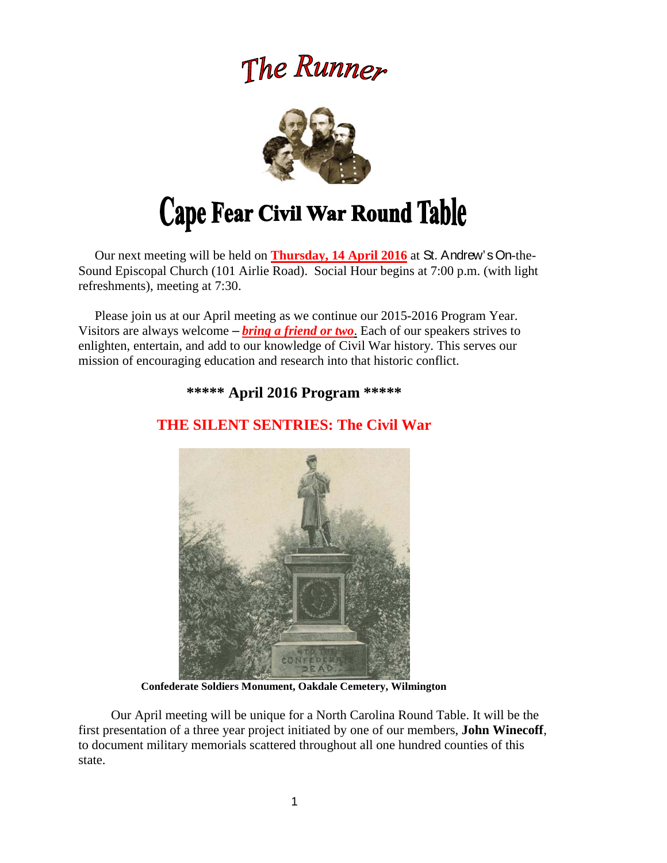# The Runner



 Our next meeting will be held on **Thursday, 14 April 2016** at St. Andrew's On-the-Sound Episcopal Church (101 Airlie Road). Social Hour begins at 7:00 p.m. (with light refreshments), meeting at 7:30.

 Please join us at our April meeting as we continue our 2015-2016 Program Year. Visitors are always welcome – *bring a friend or two*. Each of our speakers strives to enlighten, entertain, and add to our knowledge of Civil War history. This serves our mission of encouraging education and research into that historic conflict.

**\*\*\*\*\* April 2016 Program \*\*\*\*\*** 



# **THE SILENT SENTRIES: The Civil War**

**Confederate Soldiers Monument, Oakdale Cemetery, Wilmington** 

Our April meeting will be unique for a North Carolina Round Table. It will be the first presentation of a three year project initiated by one of our members, **John Winecoff**, to document military memorials scattered throughout all one hundred counties of this state.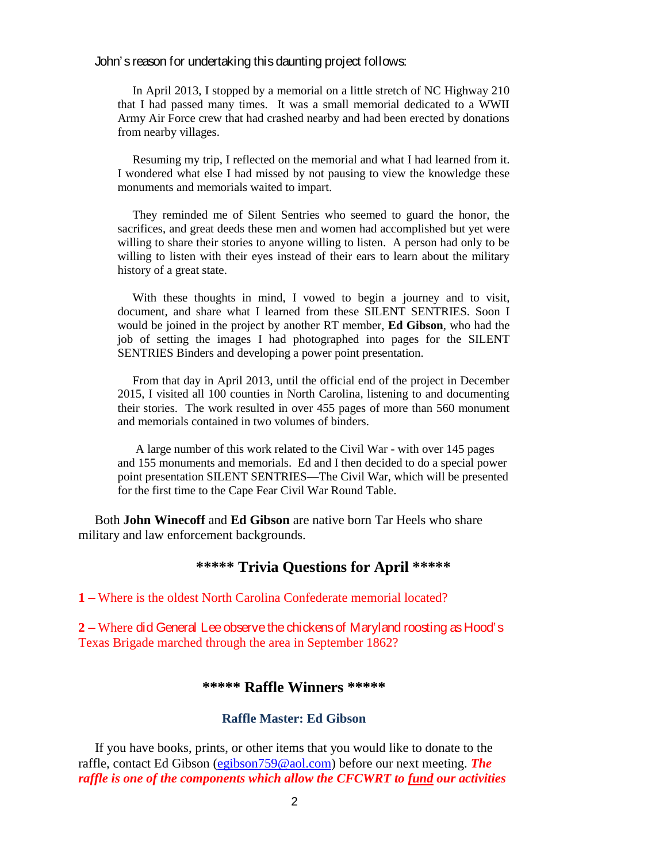#### John's reason for undertaking this daunting project follows:

In April 2013, I stopped by a memorial on a little stretch of NC Highway 210 that I had passed many times. It was a small memorial dedicated to a WWII Army Air Force crew that had crashed nearby and had been erected by donations from nearby villages.

 Resuming my trip, I reflected on the memorial and what I had learned from it. I wondered what else I had missed by not pausing to view the knowledge these monuments and memorials waited to impart.

 They reminded me of Silent Sentries who seemed to guard the honor, the sacrifices, and great deeds these men and women had accomplished but yet were willing to share their stories to anyone willing to listen. A person had only to be willing to listen with their eyes instead of their ears to learn about the military history of a great state.

 With these thoughts in mind, I vowed to begin a journey and to visit, document, and share what I learned from these SILENT SENTRIES. Soon I would be joined in the project by another RT member, **Ed Gibson**, who had the job of setting the images I had photographed into pages for the SILENT SENTRIES Binders and developing a power point presentation.

 From that day in April 2013, until the official end of the project in December 2015, I visited all 100 counties in North Carolina, listening to and documenting their stories. The work resulted in over 455 pages of more than 560 monument and memorials contained in two volumes of binders.

 A large number of this work related to the Civil War - with over 145 pages and 155 monuments and memorials. Ed and I then decided to do a special power point presentation SILENT SENTRIES—The Civil War, which will be presented for the first time to the Cape Fear Civil War Round Table.

 Both **John Winecoff** and **Ed Gibson** are native born Tar Heels who share military and law enforcement backgrounds.

# **\*\*\*\*\* Trivia Questions for April \*\*\*\*\***

**1** – Where is the oldest North Carolina Confederate memorial located?

**2** – Where did General Lee observe the chickens of Maryland roosting as Hood's Texas Brigade marched through the area in September 1862?

### **\*\*\*\*\* Raffle Winners \*\*\*\*\***

#### **Raffle Master: Ed Gibson**

If you have books, prints, or other items that you would like to donate to the raffle, contact Ed Gibson (egibson759@aol.com) before our next meeting. *The raffle is one of the components which allow the CFCWRT to fund our activities*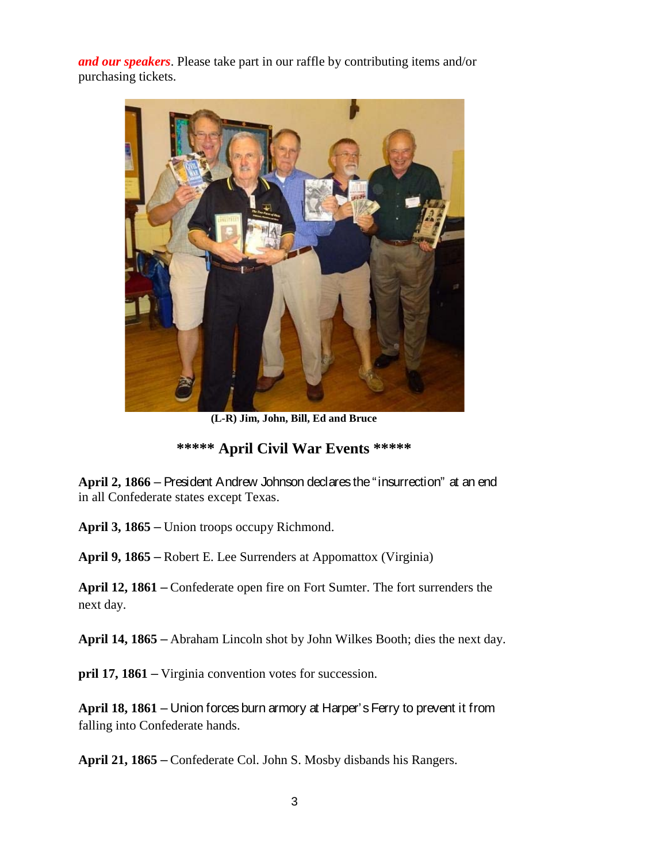*and our speakers*. Please take part in our raffle by contributing items and/or purchasing tickets.



**(L-R) Jim, John, Bill, Ed and Bruce** 

# **\*\*\*\*\* April Civil War Events \*\*\*\*\***

**April 2, 1866** – President Andrew Johnson declares the "insurrection" at an end in all Confederate states except Texas.

**April 3, 1865** – Union troops occupy Richmond.

**April 9, 1865** – Robert E. Lee Surrenders at Appomattox (Virginia)

**April 12, 1861** – Confederate open fire on Fort Sumter. The fort surrenders the next day.

**April 14, 1865** – Abraham Lincoln shot by John Wilkes Booth; dies the next day.

**pril 17, 1861** – Virginia convention votes for succession.

**April 18, 1861** – Union forces burn armory at Harper's Ferry to prevent it from falling into Confederate hands.

**April 21, 1865** – Confederate Col. John S. Mosby disbands his Rangers.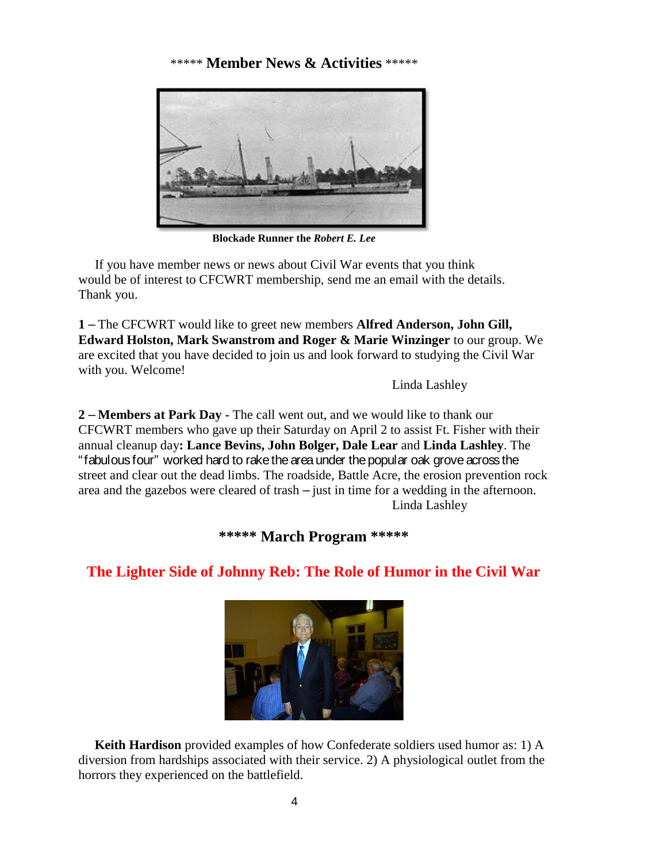# \*\*\*\*\* **Member News & Activities** \*\*\*\*\*



**Blockade Runner the** *Robert E. Lee* 

 If you have member news or news about Civil War events that you think would be of interest to CFCWRT membership, send me an email with the details. Thank you.

**1** – The CFCWRT would like to greet new members **Alfred Anderson, John Gill, Edward Holston, Mark Swanstrom and Roger & Marie Winzinger** to our group. We are excited that you have decided to join us and look forward to studying the Civil War with you. Welcome!

Linda Lashley

**2** – **Members at Park Day -** The call went out, and we would like to thank our CFCWRT members who gave up their Saturday on April 2 to assist Ft. Fisher with their annual cleanup day**: Lance Bevins, John Bolger, Dale Lear** and **Linda Lashley**. The "fabulous four" worked hard to rake the area under the popular oak grove across the street and clear out the dead limbs. The roadside, Battle Acre, the erosion prevention rock area and the gazebos were cleared of trash – just in time for a wedding in the afternoon. Linda Lashley

**\*\*\*\*\* March Program \*\*\*\*\*** 

# **The Lighter Side of Johnny Reb: The Role of Humor in the Civil War**



 **Keith Hardison** provided examples of how Confederate soldiers used humor as: 1) A diversion from hardships associated with their service. 2) A physiological outlet from the horrors they experienced on the battlefield.